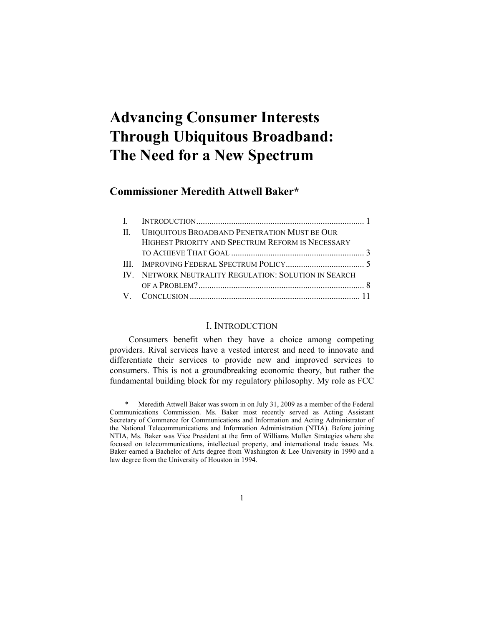# **Advancing Consumer Interests Through Ubiquitous Broadband: The Need for a New Spectrum**

## **Commissioner Meredith Attwell Baker\***

-

| II. UBIQUITOUS BROADBAND PENETRATION MUST BE OUR      |  |
|-------------------------------------------------------|--|
| HIGHEST PRIORITY AND SPECTRUM REFORM IS NECESSARY     |  |
|                                                       |  |
|                                                       |  |
| IV. NETWORK NEUTRALITY REGULATION: SOLUTION IN SEARCH |  |
|                                                       |  |
|                                                       |  |
|                                                       |  |

## I. INTRODUCTION

 Consumers benefit when they have a choice among competing providers. Rival services have a vested interest and need to innovate and differentiate their services to provide new and improved services to consumers. This is not a groundbreaking economic theory, but rather the fundamental building block for my regulatory philosophy. My role as FCC

1

 <sup>\*</sup> Meredith Attwell Baker was sworn in on July 31, 2009 as a member of the Federal Communications Commission. Ms. Baker most recently served as Acting Assistant Secretary of Commerce for Communications and Information and Acting Administrator of the National Telecommunications and Information Administration (NTIA). Before joining NTIA, Ms. Baker was Vice President at the firm of Williams Mullen Strategies where she focused on telecommunications, intellectual property, and international trade issues. Ms. Baker earned a Bachelor of Arts degree from Washington & Lee University in 1990 and a law degree from the University of Houston in 1994.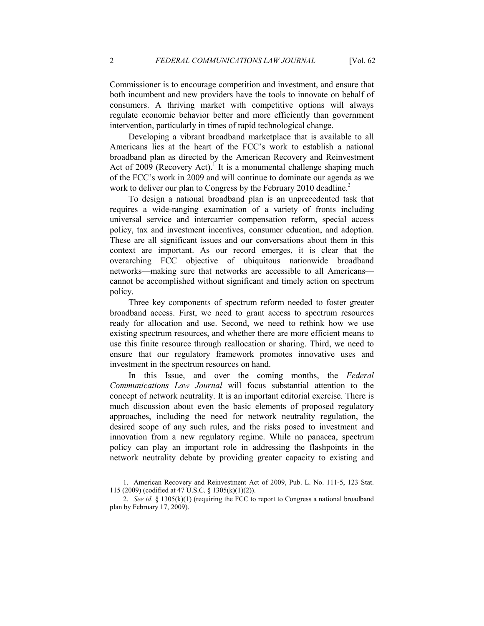Commissioner is to encourage competition and investment, and ensure that both incumbent and new providers have the tools to innovate on behalf of consumers. A thriving market with competitive options will always regulate economic behavior better and more efficiently than government intervention, particularly in times of rapid technological change.

Developing a vibrant broadband marketplace that is available to all Americans lies at the heart of the FCC's work to establish a national broadband plan as directed by the American Recovery and Reinvestment Act of  $2009$  (Recovery Act).<sup>1</sup> It is a monumental challenge shaping much of the FCC's work in 2009 and will continue to dominate our agenda as we work to deliver our plan to Congress by the February 2010 deadline. $2$ 

To design a national broadband plan is an unprecedented task that requires a wide-ranging examination of a variety of fronts including universal service and intercarrier compensation reform, special access policy, tax and investment incentives, consumer education, and adoption. These are all significant issues and our conversations about them in this context are important. As our record emerges, it is clear that the overarching FCC objective of ubiquitous nationwide broadband networks—making sure that networks are accessible to all Americans cannot be accomplished without significant and timely action on spectrum policy.

Three key components of spectrum reform needed to foster greater broadband access. First, we need to grant access to spectrum resources ready for allocation and use. Second, we need to rethink how we use existing spectrum resources, and whether there are more efficient means to use this finite resource through reallocation or sharing. Third, we need to ensure that our regulatory framework promotes innovative uses and investment in the spectrum resources on hand.

In this Issue, and over the coming months, the *Federal Communications Law Journal* will focus substantial attention to the concept of network neutrality. It is an important editorial exercise. There is much discussion about even the basic elements of proposed regulatory approaches, including the need for network neutrality regulation, the desired scope of any such rules, and the risks posed to investment and innovation from a new regulatory regime. While no panacea, spectrum policy can play an important role in addressing the flashpoints in the network neutrality debate by providing greater capacity to existing and

-

 <sup>1.</sup> American Recovery and Reinvestment Act of 2009, Pub. L. No. 111-5, 123 Stat. 115 (2009) (codified at 47 U.S.C. § 1305(k)(1)(2)).

 <sup>2.</sup> *See id.* § 1305(k)(1) (requiring the FCC to report to Congress a national broadband plan by February 17, 2009).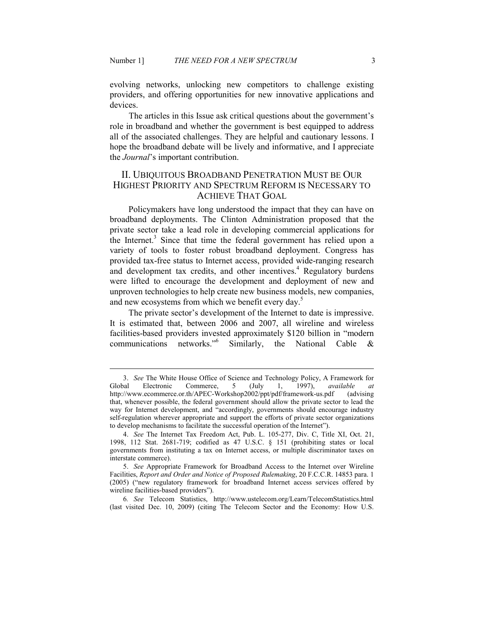-

evolving networks, unlocking new competitors to challenge existing providers, and offering opportunities for new innovative applications and devices.

 The articles in this Issue ask critical questions about the government's role in broadband and whether the government is best equipped to address all of the associated challenges. They are helpful and cautionary lessons. I hope the broadband debate will be lively and informative, and I appreciate the *Journal*'s important contribution.

### II. UBIQUITOUS BROADBAND PENETRATION MUST BE OUR HIGHEST PRIORITY AND SPECTRUM REFORM IS NECESSARY TO ACHIEVE THAT GOAL

Policymakers have long understood the impact that they can have on broadband deployments. The Clinton Administration proposed that the private sector take a lead role in developing commercial applications for the Internet.<sup>3</sup> Since that time the federal government has relied upon a variety of tools to foster robust broadband deployment. Congress has provided tax-free status to Internet access, provided wide-ranging research and development tax credits, and other incentives.<sup>4</sup> Regulatory burdens were lifted to encourage the development and deployment of new and unproven technologies to help create new business models, new companies, and new ecosystems from which we benefit every day. $5$ 

The private sector's development of the Internet to date is impressive. It is estimated that, between 2006 and 2007, all wireline and wireless facilities-based providers invested approximately \$120 billion in "modern communications networks."<sup>6</sup> Similarly, the National Cable

6*. See* Telecom Statistics, http://www.ustelecom.org/Learn/TelecomStatistics.html (last visited Dec. 10, 2009) (citing The Telecom Sector and the Economy: How U.S.

<sup>3.</sup> *See* The White House Office of Science and Technology Policy, A Framework for Global Electronic Commerce, 5 (July 1, 1997), *available at* http://www.ecommerce.or.th/APEC-Workshop2002/ppt/pdf/framework-us.pdf (advising http://www.ecommerce.or.th/APEC-Workshop2002/ppt/pdf/framework-us.pdf that, whenever possible, the federal government should allow the private sector to lead the way for Internet development, and "accordingly, governments should encourage industry self-regulation wherever appropriate and support the efforts of private sector organizations to develop mechanisms to facilitate the successful operation of the Internet").

 <sup>4.</sup> *See* The Internet Tax Freedom Act, Pub. L. 105-277, Div. C, Title XI, Oct. 21, 1998, 112 Stat. 2681-719; codified as 47 U.S.C. § 151 (prohibiting states or local governments from instituting a tax on Internet access, or multiple discriminator taxes on interstate commerce).

 <sup>5.</sup> *See* Appropriate Framework for Broadband Access to the Internet over Wireline Facilities, *Report and Order and Notice of Proposed Rulemaking*, 20 F.C.C.R. 14853 para. 1 (2005) ("new regulatory framework for broadband Internet access services offered by wireline facilities-based providers").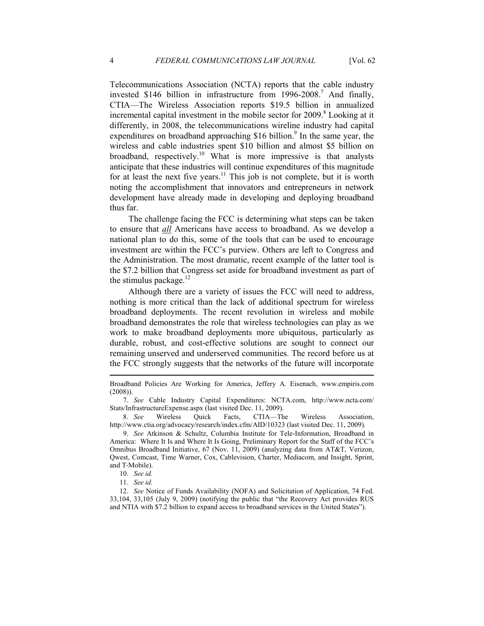Telecommunications Association (NCTA) reports that the cable industry invested \$146 billion in infrastructure from  $1996-2008$ .<sup>7</sup> And finally, CTIA—The Wireless Association reports \$19.5 billion in annualized incremental capital investment in the mobile sector for 2009.<sup>8</sup> Looking at it differently, in 2008, the telecommunications wireline industry had capital expenditures on broadband approaching \$16 billion.<sup>9</sup> In the same year, the wireless and cable industries spent \$10 billion and almost \$5 billion on broadband, respectively.<sup>10</sup> What is more impressive is that analysts anticipate that these industries will continue expenditures of this magnitude for at least the next five years.<sup>11</sup> This job is not complete, but it is worth noting the accomplishment that innovators and entrepreneurs in network development have already made in developing and deploying broadband thus far.

The challenge facing the FCC is determining what steps can be taken to ensure that *all* Americans have access to broadband. As we develop a national plan to do this, some of the tools that can be used to encourage investment are within the FCC's purview. Others are left to Congress and the Administration. The most dramatic, recent example of the latter tool is the \$7.2 billion that Congress set aside for broadband investment as part of the stimulus package. $^{12}$ 

Although there are a variety of issues the FCC will need to address, nothing is more critical than the lack of additional spectrum for wireless broadband deployments. The recent revolution in wireless and mobile broadband demonstrates the role that wireless technologies can play as we work to make broadband deployments more ubiquitous, particularly as durable, robust, and cost-effective solutions are sought to connect our remaining unserved and underserved communities. The record before us at the FCC strongly suggests that the networks of the future will incorporate

Broadband Policies Are Working for America, Jeffery A. Eisenach, www.empiris.com (2008)).

 <sup>7.</sup> *See* Cable Industry Capital Expenditures: NCTA.com, http://www.ncta.com/ Stats/InfrastructureExpense.aspx (last visited Dec. 11, 2009).

 <sup>8.</sup> *See* Wireless Quick Facts, CTIA—The Wireless Association, http://www.ctia.org/advocacy/research/index.cfm/AID/10323 (last visited Dec. 11, 2009).

 <sup>9.</sup> *See* Atkinson & Schultz, Columbia Institute for Tele-Information, Broadband in America: Where It Is and Where It Is Going, Preliminary Report for the Staff of the FCC's Omnibus Broadband Initiative, 67 (Nov. 11, 2009) (analyzing data from AT&T, Verizon, Qwest, Comcast, Time Warner, Cox, Cablevision, Charter, Mediacom, and Insight, Sprint, and T‐Mobile).

 <sup>10.</sup> *See id.* 

 <sup>11.</sup> *See id.* 

 <sup>12.</sup> *See* Notice of Funds Availability (NOFA) and Solicitation of Application, 74 Fed. 33,104, 33,105 (July 9, 2009) (notifying the public that "the Recovery Act provides RUS and NTIA with \$7.2 billion to expand access to broadband services in the United States").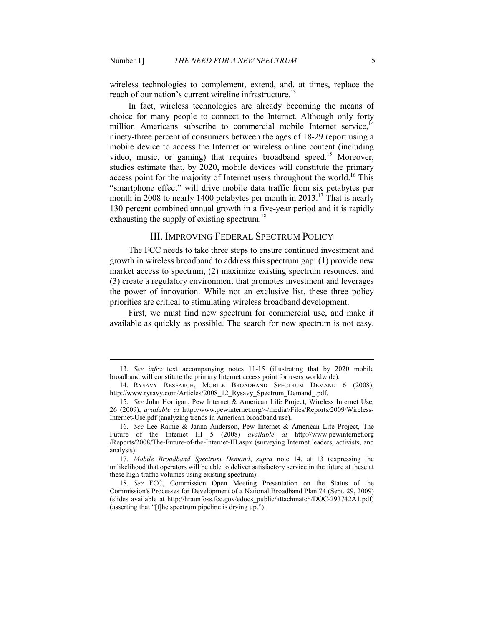-

wireless technologies to complement, extend, and, at times, replace the reach of our nation's current wireline infrastructure.<sup>13</sup>

In fact, wireless technologies are already becoming the means of choice for many people to connect to the Internet. Although only forty million Americans subscribe to commercial mobile Internet service, $1/4$ ninety-three percent of consumers between the ages of 18-29 report using a mobile device to access the Internet or wireless online content (including video, music, or gaming) that requires broadband speed.<sup>15</sup> Moreover, studies estimate that, by 2020, mobile devices will constitute the primary access point for the majority of Internet users throughout the world.<sup>16</sup> This "smartphone effect" will drive mobile data traffic from six petabytes per month in 2008 to nearly 1400 petabytes per month in 2013.<sup>17</sup> That is nearly 130 percent combined annual growth in a five-year period and it is rapidly exhausting the supply of existing spectrum.<sup>18</sup>

#### III. IMPROVING FEDERAL SPECTRUM POLICY

The FCC needs to take three steps to ensure continued investment and growth in wireless broadband to address this spectrum gap: (1) provide new market access to spectrum, (2) maximize existing spectrum resources, and (3) create a regulatory environment that promotes investment and leverages the power of innovation. While not an exclusive list, these three policy priorities are critical to stimulating wireless broadband development.

First, we must find new spectrum for commercial use, and make it available as quickly as possible. The search for new spectrum is not easy.

 <sup>13.</sup> *See infra* text accompanying notes 11-15 (illustrating that by 2020 mobile broadband will constitute the primary Internet access point for users worldwide).

 <sup>14.</sup> RYSAVY RESEARCH, MOBILE BROADBAND SPECTRUM DEMAND 6 (2008), http://www.rysavy.com/Articles/2008\_12\_Rysavy\_Spectrum\_Demand\_.pdf.

 <sup>15.</sup> *See* John Horrigan, Pew Internet & American Life Project, Wireless Internet Use, 26 (2009), *available at* http://www.pewinternet.org/~/media//Files/Reports/2009/Wireless-Internet-Use.pdf (analyzing trends in American broadband use).

 <sup>16.</sup> *See* Lee Rainie & Janna Anderson, Pew Internet & American Life Project, The Future of the Internet III 5 (2008) *available at* http://www.pewinternet.org /Reports/2008/The-Future-of-the-Internet-III.aspx (surveying Internet leaders, activists, and analysts).

 <sup>17.</sup> *Mobile Broadband Spectrum Demand*, *supra* note 14, at 13 (expressing the unlikelihood that operators will be able to deliver satisfactory service in the future at these at these high-traffic volumes using existing spectrum).

 <sup>18.</sup> *See* FCC, Commission Open Meeting Presentation on the Status of the Commission's Processes for Development of a National Broadband Plan 74 (Sept. 29, 2009) (slides available at http://hraunfoss.fcc.gov/edocs\_public/attachmatch/DOC-293742A1.pdf) (asserting that "[t]he spectrum pipeline is drying up.").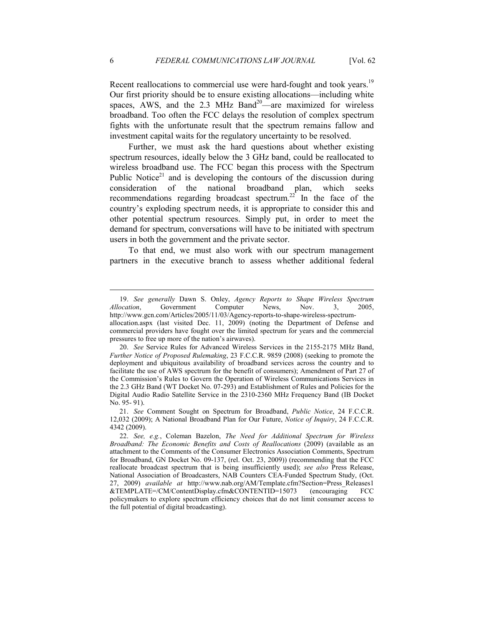Recent reallocations to commercial use were hard-fought and took years.<sup>19</sup> Our first priority should be to ensure existing allocations—including white spaces,  $\angle$ AWS, and the 2.3 MHz Band<sup>20</sup>—are maximized for wireless broadband. Too often the FCC delays the resolution of complex spectrum fights with the unfortunate result that the spectrum remains fallow and investment capital waits for the regulatory uncertainty to be resolved.

Further, we must ask the hard questions about whether existing spectrum resources, ideally below the 3 GHz band, could be reallocated to wireless broadband use. The FCC began this process with the Spectrum Public Notice<sup>21</sup> and is developing the contours of the discussion during consideration of the national broadband plan, which seeks recommendations regarding broadcast spectrum.<sup>22</sup> In the face of the country's exploding spectrum needs, it is appropriate to consider this and other potential spectrum resources. Simply put, in order to meet the demand for spectrum, conversations will have to be initiated with spectrum users in both the government and the private sector.

To that end, we must also work with our spectrum management partners in the executive branch to assess whether additional federal

 <sup>19.</sup> *See generally* Dawn S. Onley, *Agency Reports to Shape Wireless Spectrum Allocation*, Government Computer News, Nov. 3, 2005, http://www.gcn.com/Articles/2005/11/03/Agency-reports-to-shape-wireless-spectrumallocation.aspx (last visited Dec. 11, 2009) (noting the Department of Defense and

commercial providers have fought over the limited spectrum for years and the commercial pressures to free up more of the nation's airwaves).

 <sup>20.</sup> *See* Service Rules for Advanced Wireless Services in the 2155-2175 MHz Band, *Further Notice of Proposed Rulemaking*, 23 F.C.C.R. 9859 (2008) (seeking to promote the deployment and ubiquitous availability of broadband services across the country and to facilitate the use of AWS spectrum for the benefit of consumers); Amendment of Part 27 of the Commission's Rules to Govern the Operation of Wireless Communications Services in the 2.3 GHz Band (WT Docket No. 07-293) and Establishment of Rules and Policies for the Digital Audio Radio Satellite Service in the 2310-2360 MHz Frequency Band (IB Docket No. 95- 91).

 <sup>21.</sup> *See* Comment Sought on Spectrum for Broadband, *Public otice*, 24 F.C.C.R. 12,032 (2009); A National Broadband Plan for Our Future, *Notice of Inquiry*, 24 F.C.C.R. 4342 (2009).

 <sup>22.</sup> *See, e.g.*, Coleman Bazelon, *The eed for Additional Spectrum for Wireless Broadband: The Economic Benefits and Costs of Reallocations* (2009) (available as an attachment to the Comments of the Consumer Electronics Association Comments, Spectrum for Broadband, GN Docket No. 09-137, (rel. Oct. 23, 2009)) (recommending that the FCC reallocate broadcast spectrum that is being insufficiently used); *see also* Press Release, National Association of Broadcasters, NAB Counters CEA-Funded Spectrum Study, (Oct. 27, 2009) *available at* http://www.nab.org/AM/Template.cfm?Section=Press\_Releases1 &TEMPLATE=/CM/ContentDisplay.cfm&CONTENTID=15073 (encouraging FCC policymakers to explore spectrum efficiency choices that do not limit consumer access to the full potential of digital broadcasting).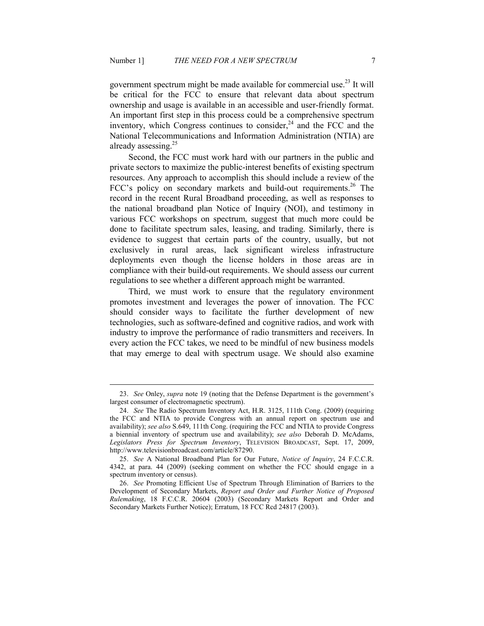government spectrum might be made available for commercial use.<sup>23</sup> It will be critical for the FCC to ensure that relevant data about spectrum ownership and usage is available in an accessible and user-friendly format. An important first step in this process could be a comprehensive spectrum inventory, which Congress continues to consider, $24$  and the FCC and the National Telecommunications and Information Administration (NTIA) are already assessing.<sup>25</sup>

Second, the FCC must work hard with our partners in the public and private sectors to maximize the public-interest benefits of existing spectrum resources. Any approach to accomplish this should include a review of the FCC's policy on secondary markets and build-out requirements.<sup>26</sup> The record in the recent Rural Broadband proceeding, as well as responses to the national broadband plan Notice of Inquiry (NOI), and testimony in various FCC workshops on spectrum, suggest that much more could be done to facilitate spectrum sales, leasing, and trading. Similarly, there is evidence to suggest that certain parts of the country, usually, but not exclusively in rural areas, lack significant wireless infrastructure deployments even though the license holders in those areas are in compliance with their build-out requirements. We should assess our current regulations to see whether a different approach might be warranted.

Third, we must work to ensure that the regulatory environment promotes investment and leverages the power of innovation. The FCC should consider ways to facilitate the further development of new technologies, such as software-defined and cognitive radios, and work with industry to improve the performance of radio transmitters and receivers. In every action the FCC takes, we need to be mindful of new business models that may emerge to deal with spectrum usage. We should also examine

 <sup>23.</sup> *See* Onley, *supra* note 19 (noting that the Defense Department is the government's largest consumer of electromagnetic spectrum).

 <sup>24.</sup> *See* The Radio Spectrum Inventory Act, H.R. 3125, 111th Cong. (2009) (requiring the FCC and NTIA to provide Congress with an annual report on spectrum use and availability); *see also* S.649, 111th Cong. (requiring the FCC and NTIA to provide Congress a biennial inventory of spectrum use and availability); *see also* Deborah D. McAdams, *Legislators Press for Spectrum Inventory*, TELEVISION BROADCAST, Sept. 17, 2009, http://www.televisionbroadcast.com/article/87290.

<sup>25.</sup> *See* A National Broadband Plan for Our Future, *Notice of Inquiry*, 24 F.C.C.R. 4342, at para. 44 (2009) (seeking comment on whether the FCC should engage in a spectrum inventory or census).

 <sup>26.</sup> *See* Promoting Efficient Use of Spectrum Through Elimination of Barriers to the Development of Secondary Markets, *Report and Order and Further Notice of Proposed Rulemaking*, 18 F.C.C.R. 20604 (2003) (Secondary Markets Report and Order and Secondary Markets Further Notice); Erratum, 18 FCC Rcd 24817 (2003).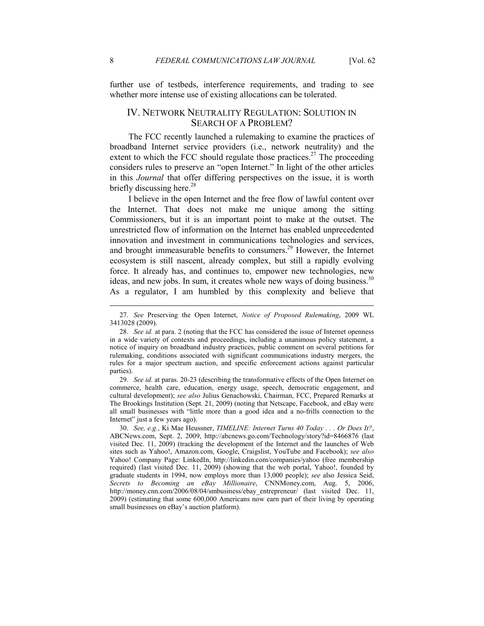further use of testbeds, interference requirements, and trading to see whether more intense use of existing allocations can be tolerated.

### IV. NETWORK NEUTRALITY REGULATION: SOLUTION IN SEARCH OF A PROBLEM?

The FCC recently launched a rulemaking to examine the practices of broadband Internet service providers (i.e., network neutrality) and the extent to which the FCC should regulate those practices.<sup>27</sup> The proceeding considers rules to preserve an "open Internet." In light of the other articles in this *Journal* that offer differing perspectives on the issue, it is worth briefly discussing here.<sup>28</sup>

I believe in the open Internet and the free flow of lawful content over the Internet. That does not make me unique among the sitting Commissioners, but it is an important point to make at the outset. The unrestricted flow of information on the Internet has enabled unprecedented innovation and investment in communications technologies and services, and brought immeasurable benefits to consumers.<sup>29</sup> However, the Internet ecosystem is still nascent, already complex, but still a rapidly evolving force. It already has, and continues to, empower new technologies, new ideas, and new jobs. In sum, it creates whole new ways of doing business.<sup>30</sup> As a regulator, I am humbled by this complexity and believe that

 29. *See id.* at paras. 20-23 (describing the transformative effects of the Open Internet on commerce, health care, education, energy usage, speech, democratic engagement, and cultural development); *see also* Julius Genachowski, Chairman, FCC, Prepared Remarks at The Brookings Institution (Sept. 21, 2009) (noting that Netscape, Facebook, and eBay were all small businesses with "little more than a good idea and a no-frills connection to the Internet" just a few years ago).

 <sup>27.</sup> *See* Preserving the Open Internet, *otice of Proposed Rulemaking*, 2009 WL 3413028 (2009).

 <sup>28.</sup> *See id.* at para. 2 (noting that the FCC has considered the issue of Internet openness in a wide variety of contexts and proceedings, including a unanimous policy statement, a notice of inquiry on broadband industry practices, public comment on several petitions for rulemaking, conditions associated with significant communications industry mergers, the rules for a major spectrum auction, and specific enforcement actions against particular parties).

 <sup>30.</sup> *See, e.g.*, Ki Mae Heussner, *TIMELIE: Internet Turns 40 Today . . . Or Does It?*, ABCNews.com, Sept. 2, 2009, http://abcnews.go.com/Technology/story?id=8466876 (last visited Dec. 11, 2009) (tracking the development of the Internet and the launches of Web sites such as Yahoo!, Amazon.com, Google, Craigslist, YouTube and Facebook); *see also* Yahoo! Company Page: LinkedIn, http://linkedin.com/companies/yahoo (free membership required) (last visited Dec. 11, 2009) (showing that the web portal, Yahoo!, founded by graduate students in 1994, now employs more than 13,000 people); *see* also Jessica Seid, *Secrets to Becoming an eBay Millionaire*, CNNMoney.com, Aug. 5, 2006, http://money.cnn.com/2006/08/04/smbusiness/ebay\_entrepreneur/ (last visited Dec. 11, 2009) (estimating that some 600,000 Americans now earn part of their living by operating small businesses on eBay's auction platform).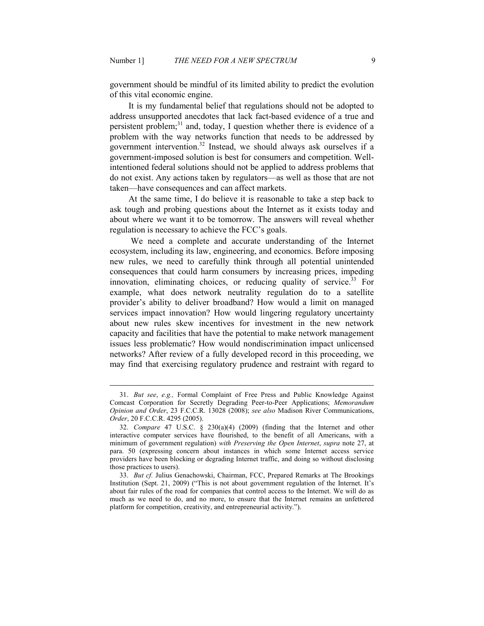-

government should be mindful of its limited ability to predict the evolution of this vital economic engine.

It is my fundamental belief that regulations should not be adopted to address unsupported anecdotes that lack fact-based evidence of a true and persistent problem; $31$  and, today, I question whether there is evidence of a problem with the way networks function that needs to be addressed by government intervention.<sup>32</sup> Instead, we should always ask ourselves if a government-imposed solution is best for consumers and competition. Wellintentioned federal solutions should not be applied to address problems that do not exist. Any actions taken by regulators—as well as those that are not taken—have consequences and can affect markets.

At the same time, I do believe it is reasonable to take a step back to ask tough and probing questions about the Internet as it exists today and about where we want it to be tomorrow. The answers will reveal whether regulation is necessary to achieve the FCC's goals.

 We need a complete and accurate understanding of the Internet ecosystem, including its law, engineering, and economics. Before imposing new rules, we need to carefully think through all potential unintended consequences that could harm consumers by increasing prices, impeding innovation, eliminating choices, or reducing quality of service.  $33$  For example, what does network neutrality regulation do to a satellite provider's ability to deliver broadband? How would a limit on managed services impact innovation? How would lingering regulatory uncertainty about new rules skew incentives for investment in the new network capacity and facilities that have the potential to make network management issues less problematic? How would nondiscrimination impact unlicensed networks? After review of a fully developed record in this proceeding, we may find that exercising regulatory prudence and restraint with regard to

 <sup>31.</sup> *But see*, *e.g.,* Formal Complaint of Free Press and Public Knowledge Against Comcast Corporation for Secretly Degrading Peer-to-Peer Applications; *Memorandum Opinion and Order*, 23 F.C.C.R. 13028 (2008); *see also* Madison River Communications, *Order*, 20 F.C.C.R. 4295 (2005).

 <sup>32.</sup> *Compare* 47 U.S.C. § 230(a)(4) (2009) (finding that the Internet and other interactive computer services have flourished, to the benefit of all Americans, with a minimum of government regulation) *with Preserving the Open Internet*, *supra* note 27, at para. 50 (expressing concern about instances in which some Internet access service providers have been blocking or degrading Internet traffic, and doing so without disclosing those practices to users).

 <sup>33.</sup> *But cf.* Julius Genachowski, Chairman, FCC, Prepared Remarks at The Brookings Institution (Sept. 21, 2009) ("This is not about government regulation of the Internet. It's about fair rules of the road for companies that control access to the Internet. We will do as much as we need to do, and no more, to ensure that the Internet remains an unfettered platform for competition, creativity, and entrepreneurial activity.").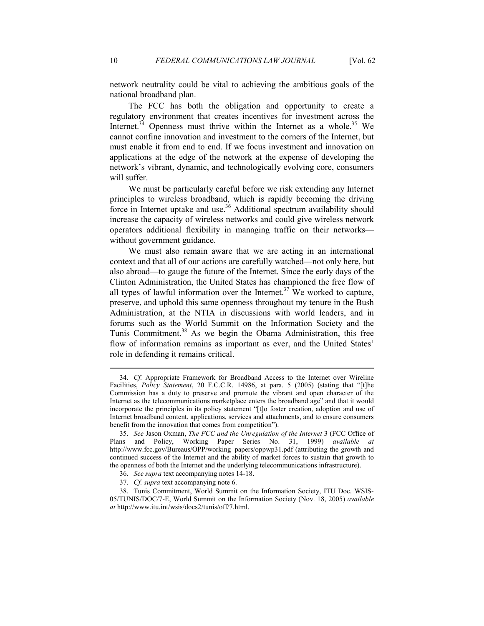network neutrality could be vital to achieving the ambitious goals of the national broadband plan.

The FCC has both the obligation and opportunity to create a regulatory environment that creates incentives for investment across the Internet.<sup>34</sup> Openness must thrive within the Internet as a whole.<sup>35</sup> We cannot confine innovation and investment to the corners of the Internet, but must enable it from end to end. If we focus investment and innovation on applications at the edge of the network at the expense of developing the network's vibrant, dynamic, and technologically evolving core, consumers will suffer.

We must be particularly careful before we risk extending any Internet principles to wireless broadband, which is rapidly becoming the driving force in Internet uptake and use.<sup>36</sup> Additional spectrum availability should increase the capacity of wireless networks and could give wireless network operators additional flexibility in managing traffic on their networks without government guidance.

We must also remain aware that we are acting in an international context and that all of our actions are carefully watched—not only here, but also abroad—to gauge the future of the Internet. Since the early days of the Clinton Administration, the United States has championed the free flow of all types of lawful information over the Internet.<sup>37</sup> We worked to capture, preserve, and uphold this same openness throughout my tenure in the Bush Administration, at the NTIA in discussions with world leaders, and in forums such as the World Summit on the Information Society and the Tunis Commitment.<sup>38</sup> As we begin the Obama Administration, this free flow of information remains as important as ever, and the United States' role in defending it remains critical.

 <sup>34.</sup> *Cf.* Appropriate Framework for Broadband Access to the Internet over Wireline Facilities, *Policy Statement*, 20 F.C.C.R. 14986, at para. 5 (2005) (stating that "[t]he Commission has a duty to preserve and promote the vibrant and open character of the Internet as the telecommunications marketplace enters the broadband age" and that it would incorporate the principles in its policy statement "[t]o foster creation, adoption and use of Internet broadband content, applications, services and attachments, and to ensure consumers benefit from the innovation that comes from competition").

 <sup>35.</sup> *See* Jason Oxman, *The FCC and the Unregulation of the Internet* 3 (FCC Office of Plans and Policy, Working Paper Series No. 31, 1999) *available at*  http://www.fcc.gov/Bureaus/OPP/working\_papers/oppwp31.pdf (attributing the growth and continued success of the Internet and the ability of market forces to sustain that growth to the openness of both the Internet and the underlying telecommunications infrastructure).

 <sup>36.</sup> *See supra* text accompanying notes 14-18.

 <sup>37.</sup> *Cf. supra* text accompanying note 6.

 <sup>38.</sup> Tunis Commitment, World Summit on the Information Society, ITU Doc. WSIS-05/TUNIS/DOC/7-E, World Summit on the Information Society (Nov. 18, 2005) *available at* http://www.itu.int/wsis/docs2/tunis/off/7.html.